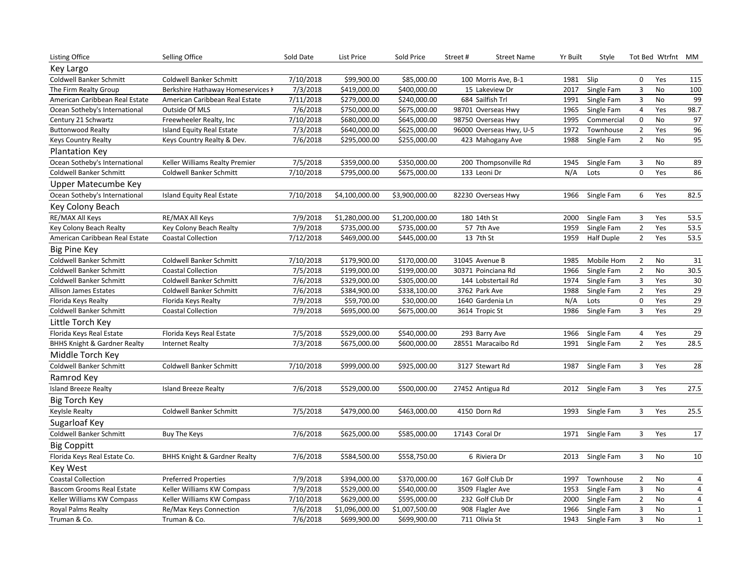| Key Largo<br>Coldwell Banker Schmitt<br>7/10/2018<br>Coldwell Banker Schmitt<br>\$99,900.00<br>\$85,000.00<br>100 Morris Ave, B-1<br>1981<br>Slip<br>0<br>Yes<br>115<br>7/3/2018<br>No<br>100<br>The Firm Realty Group<br>Berkshire Hathaway Homeservices k<br>\$419,000.00<br>\$400,000.00<br>15 Lakeview Dr<br>2017<br>Single Fam<br>3<br>7/11/2018<br>\$240,000.00<br>99<br>\$279,000.00<br>684 Sailfish Trl<br>1991<br>Single Fam<br>3<br>No<br>American Caribbean Real Estate<br>American Caribbean Real Estate<br>7/6/2018<br>\$675,000.00<br>Single Fam<br>Yes<br>98.7<br>Ocean Sotheby's International<br>Outside Of MLS<br>\$750,000.00<br>98701 Overseas Hwy<br>1965<br>$\overline{4}$<br>97<br>7/10/2018<br>\$680,000.00<br>\$645,000.00<br>1995<br>$\mathbf 0$<br>No<br>Century 21 Schwartz<br>Freewheeler Realty, Inc<br>98750 Overseas Hwy<br>Commercial<br>96<br>7/3/2018<br>$\overline{2}$<br><b>Island Equity Real Estate</b><br>\$640,000.00<br>\$625,000.00<br>96000 Overseas Hwy, U-5<br>1972<br>Townhouse<br>Yes<br><b>Buttonwood Realty</b><br>95<br>7/6/2018<br>$\overline{2}$<br>No<br>Keys Country Realty & Dev.<br>\$295,000.00<br>\$255,000.00<br>1988<br>Single Fam<br><b>Keys Country Realty</b><br>423 Mahogany Ave<br><b>Plantation Key</b><br>Ocean Sotheby's International<br>7/5/2018<br>\$350,000.00<br>Keller Williams Realty Premier<br>\$359,000.00<br>200 Thompsonville Rd<br>1945<br>Single Fam<br>3<br>No<br>89<br>7/10/2018<br>0<br>Yes<br>Coldwell Banker Schmitt<br>\$795,000.00<br>\$675,000.00<br>N/A<br>86<br>Coldwell Banker Schmitt<br>133 Leoni Dr<br>Lots<br>Upper Matecumbe Key<br>7/10/2018<br>82.5<br>Ocean Sotheby's International<br>\$4,100,000.00<br>\$3,900,000.00<br>82230 Overseas Hwy<br>1966<br>Single Fam<br>6<br>Yes<br>Island Equity Real Estate<br>Key Colony Beach<br>RE/MAX All Keys<br>RE/MAX All Keys<br>7/9/2018<br>\$1,280,000.00<br>\$1,200,000.00<br>180 14th St<br>2000<br>Single Fam<br>3<br>Yes<br>53.5<br>7/9/2018<br>$\overline{2}$<br>Yes<br>53.5<br>\$735,000.00<br>\$735,000.00<br>57 7th Ave<br>1959<br>Single Fam<br>Key Colony Beach Realty<br>Key Colony Beach Realty<br>$\overline{2}$<br>7/12/2018<br>\$469,000.00<br>\$445,000.00<br>13 7th St<br>1959<br>Half Duple<br>Yes<br>53.5<br>American Caribbean Real Estate<br><b>Coastal Collection</b><br><b>Big Pine Key</b><br>Coldwell Banker Schmitt<br>7/10/2018<br>\$179,900.00<br>\$170,000.00<br>1985<br>Mobile Hom<br>$\overline{2}$<br>31<br>Coldwell Banker Schmitt<br>31045 Avenue B<br>No<br>7/5/2018<br>\$199,000.00<br>No<br>Coldwell Banker Schmitt<br>\$199,000.00<br>30371 Poinciana Rd<br>1966<br>$\overline{2}$<br>30.5<br><b>Coastal Collection</b><br>Single Fam<br>7/6/2018<br>3<br>Yes<br>$30\,$<br><b>Coldwell Banker Schmitt</b><br><b>Coldwell Banker Schmitt</b><br>\$329,000.00<br>\$305,000.00<br>144 Lobstertail Rd<br>1974<br>Single Fam<br>7/6/2018<br>$\overline{2}$<br>29<br>\$384,900.00<br>\$338,100.00<br>3762 Park Ave<br>Yes<br>Allison James Estates<br>Coldwell Banker Schmitt<br>1988<br>Single Fam<br>29<br>7/9/2018<br>\$59,700.00<br>\$30,000.00<br>N/A<br>$\mathbf 0$<br>Yes<br>Florida Keys Realty<br>1640 Gardenia Ln<br>Lots<br>Florida Keys Realty<br>7/9/2018<br>Yes<br>29<br>\$695,000.00<br>\$675,000.00<br>3614 Tropic St<br>1986<br>Single Fam<br>3<br>Coldwell Banker Schmitt<br><b>Coastal Collection</b><br>Little Torch Key<br>7/5/2018<br>\$529,000.00<br>\$540,000.00<br>29<br>Florida Keys Real Estate<br>Florida Keys Real Estate<br>293 Barry Ave<br>1966<br>Single Fam<br>4<br>Yes<br>7/3/2018<br>$\overline{2}$<br>Yes<br>28.5<br><b>BHHS Knight &amp; Gardner Realty</b><br><b>Internet Realty</b><br>\$675,000.00<br>\$600,000.00<br>28551 Maracaibo Rd<br>1991<br>Single Fam<br>Middle Torch Key<br><b>Coldwell Banker Schmitt</b><br>Coldwell Banker Schmitt<br>7/10/2018<br>\$999,000.00<br>\$925,000.00<br>3127 Stewart Rd<br>3<br>28<br>1987<br>Single Fam<br>Yes |
|-----------------------------------------------------------------------------------------------------------------------------------------------------------------------------------------------------------------------------------------------------------------------------------------------------------------------------------------------------------------------------------------------------------------------------------------------------------------------------------------------------------------------------------------------------------------------------------------------------------------------------------------------------------------------------------------------------------------------------------------------------------------------------------------------------------------------------------------------------------------------------------------------------------------------------------------------------------------------------------------------------------------------------------------------------------------------------------------------------------------------------------------------------------------------------------------------------------------------------------------------------------------------------------------------------------------------------------------------------------------------------------------------------------------------------------------------------------------------------------------------------------------------------------------------------------------------------------------------------------------------------------------------------------------------------------------------------------------------------------------------------------------------------------------------------------------------------------------------------------------------------------------------------------------------------------------------------------------------------------------------------------------------------------------------------------------------------------------------------------------------------------------------------------------------------------------------------------------------------------------------------------------------------------------------------------------------------------------------------------------------------------------------------------------------------------------------------------------------------------------------------------------------------------------------------------------------------------------------------------------------------------------------------------------------------------------------------------------------------------------------------------------------------------------------------------------------------------------------------------------------------------------------------------------------------------------------------------------------------------------------------------------------------------------------------------------------------------------------------------------------------------------------------------------------------------------------------------------------------------------------------------------------------------------------------------------------------------------------------------------------------------------------------------------------------------------------------------------------------------------------------------------------------------------------------------------------------------------------------------------------------------------------------------------------------------------------------------------------------------------------------------------------------------------------------------------------------------------------------------------------------------------------------------------------------------------------------------------------------------|
|                                                                                                                                                                                                                                                                                                                                                                                                                                                                                                                                                                                                                                                                                                                                                                                                                                                                                                                                                                                                                                                                                                                                                                                                                                                                                                                                                                                                                                                                                                                                                                                                                                                                                                                                                                                                                                                                                                                                                                                                                                                                                                                                                                                                                                                                                                                                                                                                                                                                                                                                                                                                                                                                                                                                                                                                                                                                                                                                                                                                                                                                                                                                                                                                                                                                                                                                                                                                                                                                                                                                                                                                                                                                                                                                                                                                                                                                                                                                                                                   |
|                                                                                                                                                                                                                                                                                                                                                                                                                                                                                                                                                                                                                                                                                                                                                                                                                                                                                                                                                                                                                                                                                                                                                                                                                                                                                                                                                                                                                                                                                                                                                                                                                                                                                                                                                                                                                                                                                                                                                                                                                                                                                                                                                                                                                                                                                                                                                                                                                                                                                                                                                                                                                                                                                                                                                                                                                                                                                                                                                                                                                                                                                                                                                                                                                                                                                                                                                                                                                                                                                                                                                                                                                                                                                                                                                                                                                                                                                                                                                                                   |
|                                                                                                                                                                                                                                                                                                                                                                                                                                                                                                                                                                                                                                                                                                                                                                                                                                                                                                                                                                                                                                                                                                                                                                                                                                                                                                                                                                                                                                                                                                                                                                                                                                                                                                                                                                                                                                                                                                                                                                                                                                                                                                                                                                                                                                                                                                                                                                                                                                                                                                                                                                                                                                                                                                                                                                                                                                                                                                                                                                                                                                                                                                                                                                                                                                                                                                                                                                                                                                                                                                                                                                                                                                                                                                                                                                                                                                                                                                                                                                                   |
|                                                                                                                                                                                                                                                                                                                                                                                                                                                                                                                                                                                                                                                                                                                                                                                                                                                                                                                                                                                                                                                                                                                                                                                                                                                                                                                                                                                                                                                                                                                                                                                                                                                                                                                                                                                                                                                                                                                                                                                                                                                                                                                                                                                                                                                                                                                                                                                                                                                                                                                                                                                                                                                                                                                                                                                                                                                                                                                                                                                                                                                                                                                                                                                                                                                                                                                                                                                                                                                                                                                                                                                                                                                                                                                                                                                                                                                                                                                                                                                   |
|                                                                                                                                                                                                                                                                                                                                                                                                                                                                                                                                                                                                                                                                                                                                                                                                                                                                                                                                                                                                                                                                                                                                                                                                                                                                                                                                                                                                                                                                                                                                                                                                                                                                                                                                                                                                                                                                                                                                                                                                                                                                                                                                                                                                                                                                                                                                                                                                                                                                                                                                                                                                                                                                                                                                                                                                                                                                                                                                                                                                                                                                                                                                                                                                                                                                                                                                                                                                                                                                                                                                                                                                                                                                                                                                                                                                                                                                                                                                                                                   |
|                                                                                                                                                                                                                                                                                                                                                                                                                                                                                                                                                                                                                                                                                                                                                                                                                                                                                                                                                                                                                                                                                                                                                                                                                                                                                                                                                                                                                                                                                                                                                                                                                                                                                                                                                                                                                                                                                                                                                                                                                                                                                                                                                                                                                                                                                                                                                                                                                                                                                                                                                                                                                                                                                                                                                                                                                                                                                                                                                                                                                                                                                                                                                                                                                                                                                                                                                                                                                                                                                                                                                                                                                                                                                                                                                                                                                                                                                                                                                                                   |
|                                                                                                                                                                                                                                                                                                                                                                                                                                                                                                                                                                                                                                                                                                                                                                                                                                                                                                                                                                                                                                                                                                                                                                                                                                                                                                                                                                                                                                                                                                                                                                                                                                                                                                                                                                                                                                                                                                                                                                                                                                                                                                                                                                                                                                                                                                                                                                                                                                                                                                                                                                                                                                                                                                                                                                                                                                                                                                                                                                                                                                                                                                                                                                                                                                                                                                                                                                                                                                                                                                                                                                                                                                                                                                                                                                                                                                                                                                                                                                                   |
|                                                                                                                                                                                                                                                                                                                                                                                                                                                                                                                                                                                                                                                                                                                                                                                                                                                                                                                                                                                                                                                                                                                                                                                                                                                                                                                                                                                                                                                                                                                                                                                                                                                                                                                                                                                                                                                                                                                                                                                                                                                                                                                                                                                                                                                                                                                                                                                                                                                                                                                                                                                                                                                                                                                                                                                                                                                                                                                                                                                                                                                                                                                                                                                                                                                                                                                                                                                                                                                                                                                                                                                                                                                                                                                                                                                                                                                                                                                                                                                   |
|                                                                                                                                                                                                                                                                                                                                                                                                                                                                                                                                                                                                                                                                                                                                                                                                                                                                                                                                                                                                                                                                                                                                                                                                                                                                                                                                                                                                                                                                                                                                                                                                                                                                                                                                                                                                                                                                                                                                                                                                                                                                                                                                                                                                                                                                                                                                                                                                                                                                                                                                                                                                                                                                                                                                                                                                                                                                                                                                                                                                                                                                                                                                                                                                                                                                                                                                                                                                                                                                                                                                                                                                                                                                                                                                                                                                                                                                                                                                                                                   |
|                                                                                                                                                                                                                                                                                                                                                                                                                                                                                                                                                                                                                                                                                                                                                                                                                                                                                                                                                                                                                                                                                                                                                                                                                                                                                                                                                                                                                                                                                                                                                                                                                                                                                                                                                                                                                                                                                                                                                                                                                                                                                                                                                                                                                                                                                                                                                                                                                                                                                                                                                                                                                                                                                                                                                                                                                                                                                                                                                                                                                                                                                                                                                                                                                                                                                                                                                                                                                                                                                                                                                                                                                                                                                                                                                                                                                                                                                                                                                                                   |
|                                                                                                                                                                                                                                                                                                                                                                                                                                                                                                                                                                                                                                                                                                                                                                                                                                                                                                                                                                                                                                                                                                                                                                                                                                                                                                                                                                                                                                                                                                                                                                                                                                                                                                                                                                                                                                                                                                                                                                                                                                                                                                                                                                                                                                                                                                                                                                                                                                                                                                                                                                                                                                                                                                                                                                                                                                                                                                                                                                                                                                                                                                                                                                                                                                                                                                                                                                                                                                                                                                                                                                                                                                                                                                                                                                                                                                                                                                                                                                                   |
|                                                                                                                                                                                                                                                                                                                                                                                                                                                                                                                                                                                                                                                                                                                                                                                                                                                                                                                                                                                                                                                                                                                                                                                                                                                                                                                                                                                                                                                                                                                                                                                                                                                                                                                                                                                                                                                                                                                                                                                                                                                                                                                                                                                                                                                                                                                                                                                                                                                                                                                                                                                                                                                                                                                                                                                                                                                                                                                                                                                                                                                                                                                                                                                                                                                                                                                                                                                                                                                                                                                                                                                                                                                                                                                                                                                                                                                                                                                                                                                   |
|                                                                                                                                                                                                                                                                                                                                                                                                                                                                                                                                                                                                                                                                                                                                                                                                                                                                                                                                                                                                                                                                                                                                                                                                                                                                                                                                                                                                                                                                                                                                                                                                                                                                                                                                                                                                                                                                                                                                                                                                                                                                                                                                                                                                                                                                                                                                                                                                                                                                                                                                                                                                                                                                                                                                                                                                                                                                                                                                                                                                                                                                                                                                                                                                                                                                                                                                                                                                                                                                                                                                                                                                                                                                                                                                                                                                                                                                                                                                                                                   |
|                                                                                                                                                                                                                                                                                                                                                                                                                                                                                                                                                                                                                                                                                                                                                                                                                                                                                                                                                                                                                                                                                                                                                                                                                                                                                                                                                                                                                                                                                                                                                                                                                                                                                                                                                                                                                                                                                                                                                                                                                                                                                                                                                                                                                                                                                                                                                                                                                                                                                                                                                                                                                                                                                                                                                                                                                                                                                                                                                                                                                                                                                                                                                                                                                                                                                                                                                                                                                                                                                                                                                                                                                                                                                                                                                                                                                                                                                                                                                                                   |
|                                                                                                                                                                                                                                                                                                                                                                                                                                                                                                                                                                                                                                                                                                                                                                                                                                                                                                                                                                                                                                                                                                                                                                                                                                                                                                                                                                                                                                                                                                                                                                                                                                                                                                                                                                                                                                                                                                                                                                                                                                                                                                                                                                                                                                                                                                                                                                                                                                                                                                                                                                                                                                                                                                                                                                                                                                                                                                                                                                                                                                                                                                                                                                                                                                                                                                                                                                                                                                                                                                                                                                                                                                                                                                                                                                                                                                                                                                                                                                                   |
|                                                                                                                                                                                                                                                                                                                                                                                                                                                                                                                                                                                                                                                                                                                                                                                                                                                                                                                                                                                                                                                                                                                                                                                                                                                                                                                                                                                                                                                                                                                                                                                                                                                                                                                                                                                                                                                                                                                                                                                                                                                                                                                                                                                                                                                                                                                                                                                                                                                                                                                                                                                                                                                                                                                                                                                                                                                                                                                                                                                                                                                                                                                                                                                                                                                                                                                                                                                                                                                                                                                                                                                                                                                                                                                                                                                                                                                                                                                                                                                   |
|                                                                                                                                                                                                                                                                                                                                                                                                                                                                                                                                                                                                                                                                                                                                                                                                                                                                                                                                                                                                                                                                                                                                                                                                                                                                                                                                                                                                                                                                                                                                                                                                                                                                                                                                                                                                                                                                                                                                                                                                                                                                                                                                                                                                                                                                                                                                                                                                                                                                                                                                                                                                                                                                                                                                                                                                                                                                                                                                                                                                                                                                                                                                                                                                                                                                                                                                                                                                                                                                                                                                                                                                                                                                                                                                                                                                                                                                                                                                                                                   |
|                                                                                                                                                                                                                                                                                                                                                                                                                                                                                                                                                                                                                                                                                                                                                                                                                                                                                                                                                                                                                                                                                                                                                                                                                                                                                                                                                                                                                                                                                                                                                                                                                                                                                                                                                                                                                                                                                                                                                                                                                                                                                                                                                                                                                                                                                                                                                                                                                                                                                                                                                                                                                                                                                                                                                                                                                                                                                                                                                                                                                                                                                                                                                                                                                                                                                                                                                                                                                                                                                                                                                                                                                                                                                                                                                                                                                                                                                                                                                                                   |
|                                                                                                                                                                                                                                                                                                                                                                                                                                                                                                                                                                                                                                                                                                                                                                                                                                                                                                                                                                                                                                                                                                                                                                                                                                                                                                                                                                                                                                                                                                                                                                                                                                                                                                                                                                                                                                                                                                                                                                                                                                                                                                                                                                                                                                                                                                                                                                                                                                                                                                                                                                                                                                                                                                                                                                                                                                                                                                                                                                                                                                                                                                                                                                                                                                                                                                                                                                                                                                                                                                                                                                                                                                                                                                                                                                                                                                                                                                                                                                                   |
|                                                                                                                                                                                                                                                                                                                                                                                                                                                                                                                                                                                                                                                                                                                                                                                                                                                                                                                                                                                                                                                                                                                                                                                                                                                                                                                                                                                                                                                                                                                                                                                                                                                                                                                                                                                                                                                                                                                                                                                                                                                                                                                                                                                                                                                                                                                                                                                                                                                                                                                                                                                                                                                                                                                                                                                                                                                                                                                                                                                                                                                                                                                                                                                                                                                                                                                                                                                                                                                                                                                                                                                                                                                                                                                                                                                                                                                                                                                                                                                   |
|                                                                                                                                                                                                                                                                                                                                                                                                                                                                                                                                                                                                                                                                                                                                                                                                                                                                                                                                                                                                                                                                                                                                                                                                                                                                                                                                                                                                                                                                                                                                                                                                                                                                                                                                                                                                                                                                                                                                                                                                                                                                                                                                                                                                                                                                                                                                                                                                                                                                                                                                                                                                                                                                                                                                                                                                                                                                                                                                                                                                                                                                                                                                                                                                                                                                                                                                                                                                                                                                                                                                                                                                                                                                                                                                                                                                                                                                                                                                                                                   |
|                                                                                                                                                                                                                                                                                                                                                                                                                                                                                                                                                                                                                                                                                                                                                                                                                                                                                                                                                                                                                                                                                                                                                                                                                                                                                                                                                                                                                                                                                                                                                                                                                                                                                                                                                                                                                                                                                                                                                                                                                                                                                                                                                                                                                                                                                                                                                                                                                                                                                                                                                                                                                                                                                                                                                                                                                                                                                                                                                                                                                                                                                                                                                                                                                                                                                                                                                                                                                                                                                                                                                                                                                                                                                                                                                                                                                                                                                                                                                                                   |
|                                                                                                                                                                                                                                                                                                                                                                                                                                                                                                                                                                                                                                                                                                                                                                                                                                                                                                                                                                                                                                                                                                                                                                                                                                                                                                                                                                                                                                                                                                                                                                                                                                                                                                                                                                                                                                                                                                                                                                                                                                                                                                                                                                                                                                                                                                                                                                                                                                                                                                                                                                                                                                                                                                                                                                                                                                                                                                                                                                                                                                                                                                                                                                                                                                                                                                                                                                                                                                                                                                                                                                                                                                                                                                                                                                                                                                                                                                                                                                                   |
|                                                                                                                                                                                                                                                                                                                                                                                                                                                                                                                                                                                                                                                                                                                                                                                                                                                                                                                                                                                                                                                                                                                                                                                                                                                                                                                                                                                                                                                                                                                                                                                                                                                                                                                                                                                                                                                                                                                                                                                                                                                                                                                                                                                                                                                                                                                                                                                                                                                                                                                                                                                                                                                                                                                                                                                                                                                                                                                                                                                                                                                                                                                                                                                                                                                                                                                                                                                                                                                                                                                                                                                                                                                                                                                                                                                                                                                                                                                                                                                   |
|                                                                                                                                                                                                                                                                                                                                                                                                                                                                                                                                                                                                                                                                                                                                                                                                                                                                                                                                                                                                                                                                                                                                                                                                                                                                                                                                                                                                                                                                                                                                                                                                                                                                                                                                                                                                                                                                                                                                                                                                                                                                                                                                                                                                                                                                                                                                                                                                                                                                                                                                                                                                                                                                                                                                                                                                                                                                                                                                                                                                                                                                                                                                                                                                                                                                                                                                                                                                                                                                                                                                                                                                                                                                                                                                                                                                                                                                                                                                                                                   |
|                                                                                                                                                                                                                                                                                                                                                                                                                                                                                                                                                                                                                                                                                                                                                                                                                                                                                                                                                                                                                                                                                                                                                                                                                                                                                                                                                                                                                                                                                                                                                                                                                                                                                                                                                                                                                                                                                                                                                                                                                                                                                                                                                                                                                                                                                                                                                                                                                                                                                                                                                                                                                                                                                                                                                                                                                                                                                                                                                                                                                                                                                                                                                                                                                                                                                                                                                                                                                                                                                                                                                                                                                                                                                                                                                                                                                                                                                                                                                                                   |
|                                                                                                                                                                                                                                                                                                                                                                                                                                                                                                                                                                                                                                                                                                                                                                                                                                                                                                                                                                                                                                                                                                                                                                                                                                                                                                                                                                                                                                                                                                                                                                                                                                                                                                                                                                                                                                                                                                                                                                                                                                                                                                                                                                                                                                                                                                                                                                                                                                                                                                                                                                                                                                                                                                                                                                                                                                                                                                                                                                                                                                                                                                                                                                                                                                                                                                                                                                                                                                                                                                                                                                                                                                                                                                                                                                                                                                                                                                                                                                                   |
|                                                                                                                                                                                                                                                                                                                                                                                                                                                                                                                                                                                                                                                                                                                                                                                                                                                                                                                                                                                                                                                                                                                                                                                                                                                                                                                                                                                                                                                                                                                                                                                                                                                                                                                                                                                                                                                                                                                                                                                                                                                                                                                                                                                                                                                                                                                                                                                                                                                                                                                                                                                                                                                                                                                                                                                                                                                                                                                                                                                                                                                                                                                                                                                                                                                                                                                                                                                                                                                                                                                                                                                                                                                                                                                                                                                                                                                                                                                                                                                   |
|                                                                                                                                                                                                                                                                                                                                                                                                                                                                                                                                                                                                                                                                                                                                                                                                                                                                                                                                                                                                                                                                                                                                                                                                                                                                                                                                                                                                                                                                                                                                                                                                                                                                                                                                                                                                                                                                                                                                                                                                                                                                                                                                                                                                                                                                                                                                                                                                                                                                                                                                                                                                                                                                                                                                                                                                                                                                                                                                                                                                                                                                                                                                                                                                                                                                                                                                                                                                                                                                                                                                                                                                                                                                                                                                                                                                                                                                                                                                                                                   |
| Ramrod Key                                                                                                                                                                                                                                                                                                                                                                                                                                                                                                                                                                                                                                                                                                                                                                                                                                                                                                                                                                                                                                                                                                                                                                                                                                                                                                                                                                                                                                                                                                                                                                                                                                                                                                                                                                                                                                                                                                                                                                                                                                                                                                                                                                                                                                                                                                                                                                                                                                                                                                                                                                                                                                                                                                                                                                                                                                                                                                                                                                                                                                                                                                                                                                                                                                                                                                                                                                                                                                                                                                                                                                                                                                                                                                                                                                                                                                                                                                                                                                        |
| <b>Island Breeze Realty</b><br>7/6/2018<br>\$529,000.00<br>Single Fam<br>3<br>27.5<br><b>Island Breeze Realty</b><br>\$500,000.00<br>27452 Antigua Rd<br>2012<br>Yes                                                                                                                                                                                                                                                                                                                                                                                                                                                                                                                                                                                                                                                                                                                                                                                                                                                                                                                                                                                                                                                                                                                                                                                                                                                                                                                                                                                                                                                                                                                                                                                                                                                                                                                                                                                                                                                                                                                                                                                                                                                                                                                                                                                                                                                                                                                                                                                                                                                                                                                                                                                                                                                                                                                                                                                                                                                                                                                                                                                                                                                                                                                                                                                                                                                                                                                                                                                                                                                                                                                                                                                                                                                                                                                                                                                                              |
| <b>Big Torch Key</b>                                                                                                                                                                                                                                                                                                                                                                                                                                                                                                                                                                                                                                                                                                                                                                                                                                                                                                                                                                                                                                                                                                                                                                                                                                                                                                                                                                                                                                                                                                                                                                                                                                                                                                                                                                                                                                                                                                                                                                                                                                                                                                                                                                                                                                                                                                                                                                                                                                                                                                                                                                                                                                                                                                                                                                                                                                                                                                                                                                                                                                                                                                                                                                                                                                                                                                                                                                                                                                                                                                                                                                                                                                                                                                                                                                                                                                                                                                                                                              |
| 7/5/2018<br>3<br>Yes<br>25.5<br>Keylsle Realty<br>Coldwell Banker Schmitt<br>\$479,000.00<br>\$463,000.00<br>4150 Dorn Rd<br>1993<br>Single Fam                                                                                                                                                                                                                                                                                                                                                                                                                                                                                                                                                                                                                                                                                                                                                                                                                                                                                                                                                                                                                                                                                                                                                                                                                                                                                                                                                                                                                                                                                                                                                                                                                                                                                                                                                                                                                                                                                                                                                                                                                                                                                                                                                                                                                                                                                                                                                                                                                                                                                                                                                                                                                                                                                                                                                                                                                                                                                                                                                                                                                                                                                                                                                                                                                                                                                                                                                                                                                                                                                                                                                                                                                                                                                                                                                                                                                                   |
| Sugarloaf Key                                                                                                                                                                                                                                                                                                                                                                                                                                                                                                                                                                                                                                                                                                                                                                                                                                                                                                                                                                                                                                                                                                                                                                                                                                                                                                                                                                                                                                                                                                                                                                                                                                                                                                                                                                                                                                                                                                                                                                                                                                                                                                                                                                                                                                                                                                                                                                                                                                                                                                                                                                                                                                                                                                                                                                                                                                                                                                                                                                                                                                                                                                                                                                                                                                                                                                                                                                                                                                                                                                                                                                                                                                                                                                                                                                                                                                                                                                                                                                     |
| 7/6/2018<br><b>Coldwell Banker Schmitt</b><br><b>Buy The Keys</b><br>\$625,000.00<br>\$585,000.00<br>17143 Coral Dr<br>1971<br>Single Fam<br>3<br>Yes<br>17                                                                                                                                                                                                                                                                                                                                                                                                                                                                                                                                                                                                                                                                                                                                                                                                                                                                                                                                                                                                                                                                                                                                                                                                                                                                                                                                                                                                                                                                                                                                                                                                                                                                                                                                                                                                                                                                                                                                                                                                                                                                                                                                                                                                                                                                                                                                                                                                                                                                                                                                                                                                                                                                                                                                                                                                                                                                                                                                                                                                                                                                                                                                                                                                                                                                                                                                                                                                                                                                                                                                                                                                                                                                                                                                                                                                                       |
| <b>Big Coppitt</b>                                                                                                                                                                                                                                                                                                                                                                                                                                                                                                                                                                                                                                                                                                                                                                                                                                                                                                                                                                                                                                                                                                                                                                                                                                                                                                                                                                                                                                                                                                                                                                                                                                                                                                                                                                                                                                                                                                                                                                                                                                                                                                                                                                                                                                                                                                                                                                                                                                                                                                                                                                                                                                                                                                                                                                                                                                                                                                                                                                                                                                                                                                                                                                                                                                                                                                                                                                                                                                                                                                                                                                                                                                                                                                                                                                                                                                                                                                                                                                |
| Florida Keys Real Estate Co.<br>7/6/2018<br>3<br>No<br>10<br><b>BHHS Knight &amp; Gardner Realty</b><br>\$584,500.00<br>\$558,750.00<br>6 Riviera Dr<br>2013<br>Single Fam                                                                                                                                                                                                                                                                                                                                                                                                                                                                                                                                                                                                                                                                                                                                                                                                                                                                                                                                                                                                                                                                                                                                                                                                                                                                                                                                                                                                                                                                                                                                                                                                                                                                                                                                                                                                                                                                                                                                                                                                                                                                                                                                                                                                                                                                                                                                                                                                                                                                                                                                                                                                                                                                                                                                                                                                                                                                                                                                                                                                                                                                                                                                                                                                                                                                                                                                                                                                                                                                                                                                                                                                                                                                                                                                                                                                        |
| <b>Key West</b>                                                                                                                                                                                                                                                                                                                                                                                                                                                                                                                                                                                                                                                                                                                                                                                                                                                                                                                                                                                                                                                                                                                                                                                                                                                                                                                                                                                                                                                                                                                                                                                                                                                                                                                                                                                                                                                                                                                                                                                                                                                                                                                                                                                                                                                                                                                                                                                                                                                                                                                                                                                                                                                                                                                                                                                                                                                                                                                                                                                                                                                                                                                                                                                                                                                                                                                                                                                                                                                                                                                                                                                                                                                                                                                                                                                                                                                                                                                                                                   |
| <b>Coastal Collection</b><br><b>Preferred Properties</b><br>7/9/2018<br>\$370,000.00<br>4<br>\$394,000.00<br>167 Golf Club Dr<br>1997<br>Townhouse<br>2<br>No                                                                                                                                                                                                                                                                                                                                                                                                                                                                                                                                                                                                                                                                                                                                                                                                                                                                                                                                                                                                                                                                                                                                                                                                                                                                                                                                                                                                                                                                                                                                                                                                                                                                                                                                                                                                                                                                                                                                                                                                                                                                                                                                                                                                                                                                                                                                                                                                                                                                                                                                                                                                                                                                                                                                                                                                                                                                                                                                                                                                                                                                                                                                                                                                                                                                                                                                                                                                                                                                                                                                                                                                                                                                                                                                                                                                                     |
| 7/9/2018<br>Keller Williams KW Compass<br>\$529,000.00<br>\$540,000.00<br>3<br>No<br>$\overline{4}$<br><b>Bascom Grooms Real Estate</b><br>3509 Flagler Ave<br>1953<br>Single Fam                                                                                                                                                                                                                                                                                                                                                                                                                                                                                                                                                                                                                                                                                                                                                                                                                                                                                                                                                                                                                                                                                                                                                                                                                                                                                                                                                                                                                                                                                                                                                                                                                                                                                                                                                                                                                                                                                                                                                                                                                                                                                                                                                                                                                                                                                                                                                                                                                                                                                                                                                                                                                                                                                                                                                                                                                                                                                                                                                                                                                                                                                                                                                                                                                                                                                                                                                                                                                                                                                                                                                                                                                                                                                                                                                                                                 |
| 7/10/2018<br>$\overline{2}$<br>No<br>$\overline{4}$<br>Keller Williams KW Compass<br>\$629,000.00<br>\$595,000.00<br>232 Golf Club Dr<br>2000<br>Single Fam<br>Keller Williams KW Compass                                                                                                                                                                                                                                                                                                                                                                                                                                                                                                                                                                                                                                                                                                                                                                                                                                                                                                                                                                                                                                                                                                                                                                                                                                                                                                                                                                                                                                                                                                                                                                                                                                                                                                                                                                                                                                                                                                                                                                                                                                                                                                                                                                                                                                                                                                                                                                                                                                                                                                                                                                                                                                                                                                                                                                                                                                                                                                                                                                                                                                                                                                                                                                                                                                                                                                                                                                                                                                                                                                                                                                                                                                                                                                                                                                                         |
| 3<br>$\overline{1}$<br>7/6/2018<br>\$1,007,500.00<br>1966<br>No<br>\$1,096,000.00<br>908 Flagler Ave<br>Single Fam<br>Royal Palms Realty<br>Re/Max Keys Connection                                                                                                                                                                                                                                                                                                                                                                                                                                                                                                                                                                                                                                                                                                                                                                                                                                                                                                                                                                                                                                                                                                                                                                                                                                                                                                                                                                                                                                                                                                                                                                                                                                                                                                                                                                                                                                                                                                                                                                                                                                                                                                                                                                                                                                                                                                                                                                                                                                                                                                                                                                                                                                                                                                                                                                                                                                                                                                                                                                                                                                                                                                                                                                                                                                                                                                                                                                                                                                                                                                                                                                                                                                                                                                                                                                                                                |
| $\overline{1}$<br>7/6/2018<br>$\overline{3}$<br>Truman & Co.<br>\$699,900.00<br>\$699,900.00<br>1943<br>Single Fam<br>No<br>Truman & Co.<br>711 Olivia St                                                                                                                                                                                                                                                                                                                                                                                                                                                                                                                                                                                                                                                                                                                                                                                                                                                                                                                                                                                                                                                                                                                                                                                                                                                                                                                                                                                                                                                                                                                                                                                                                                                                                                                                                                                                                                                                                                                                                                                                                                                                                                                                                                                                                                                                                                                                                                                                                                                                                                                                                                                                                                                                                                                                                                                                                                                                                                                                                                                                                                                                                                                                                                                                                                                                                                                                                                                                                                                                                                                                                                                                                                                                                                                                                                                                                         |